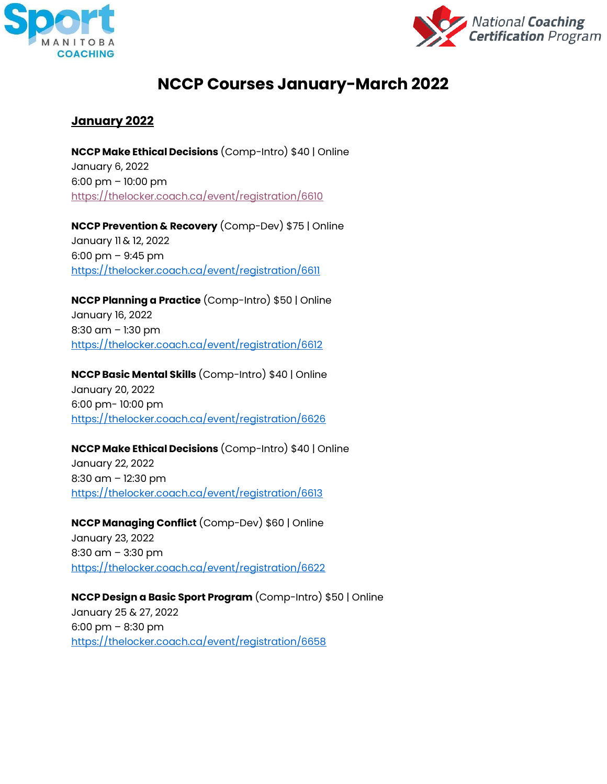



# **NCCP Courses January-March 2022**

### **January 2022**

**NCCP Make Ethical Decisions** (Comp-Intro) \$40 | Online January 6, 2022 6:00 pm – 10:00 pm <https://thelocker.coach.ca/event/registration/6610>

**NCCP Prevention & Recovery** (Comp-Dev) \$75 | Online January 11 & 12, 2022 6:00 pm – 9:45 pm <https://thelocker.coach.ca/event/registration/6611>

**NCCP Planning a Practice** (Comp-Intro) \$50 | Online January 16, 2022 8:30 am – 1:30 pm <https://thelocker.coach.ca/event/registration/6612>

**NCCP Basic Mental Skills** (Comp-Intro) \$40 | Online January 20, 2022 6:00 pm- 10:00 pm <https://thelocker.coach.ca/event/registration/6626>

#### **NCCP Make Ethical Decisions** (Comp-Intro) \$40 | Online

January 22, 2022 8:30 am – 12:30 pm <https://thelocker.coach.ca/event/registration/6613>

**NCCP Managing Conflict** (Comp-Dev) \$60 | Online January 23, 2022 8:30 am – 3:30 pm <https://thelocker.coach.ca/event/registration/6622>

**NCCP Design a Basic Sport Program** (Comp-Intro) \$50 | Online January 25 & 27, 2022 6:00 pm – 8:30 pm <https://thelocker.coach.ca/event/registration/6658>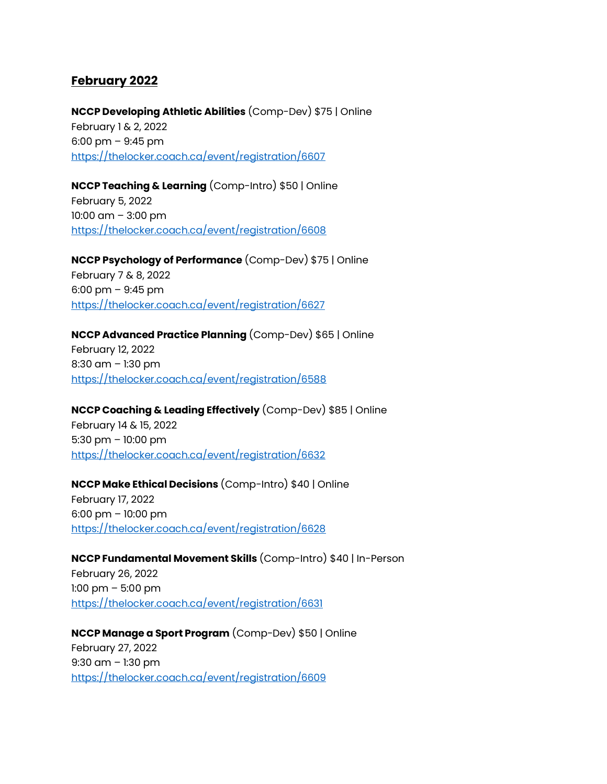### **February 2022**

**NCCP Developing Athletic Abilities** (Comp-Dev) \$75 | Online February 1 & 2, 2022 6:00 pm – 9:45 pm <https://thelocker.coach.ca/event/registration/6607>

**NCCP Teaching & Learning** (Comp-Intro) \$50 | Online February 5, 2022 10:00 am – 3:00 pm <https://thelocker.coach.ca/event/registration/6608>

**NCCP Psychology of Performance** (Comp-Dev) \$75 | Online February 7 & 8, 2022 6:00 pm – 9:45 pm <https://thelocker.coach.ca/event/registration/6627>

## **NCCP Advanced Practice Planning** (Comp-Dev) \$65 | Online February 12, 2022 8:30 am – 1:30 pm

<https://thelocker.coach.ca/event/registration/6588>

**NCCP Coaching & Leading Effectively** (Comp-Dev) \$85 | Online

February 14 & 15, 2022 5:30 pm – 10:00 pm <https://thelocker.coach.ca/event/registration/6632>

**NCCP Make Ethical Decisions** (Comp-Intro) \$40 | Online February 17, 2022 6:00 pm – 10:00 pm

<https://thelocker.coach.ca/event/registration/6628>

**NCCP Fundamental Movement Skills** (Comp-Intro) \$40 | In-Person

February 26, 2022 1:00 pm – 5:00 pm <https://thelocker.coach.ca/event/registration/6631>

**NCCP Manage a Sport Program** (Comp-Dev) \$50 | Online February 27, 2022 9:30 am – 1:30 pm <https://thelocker.coach.ca/event/registration/6609>